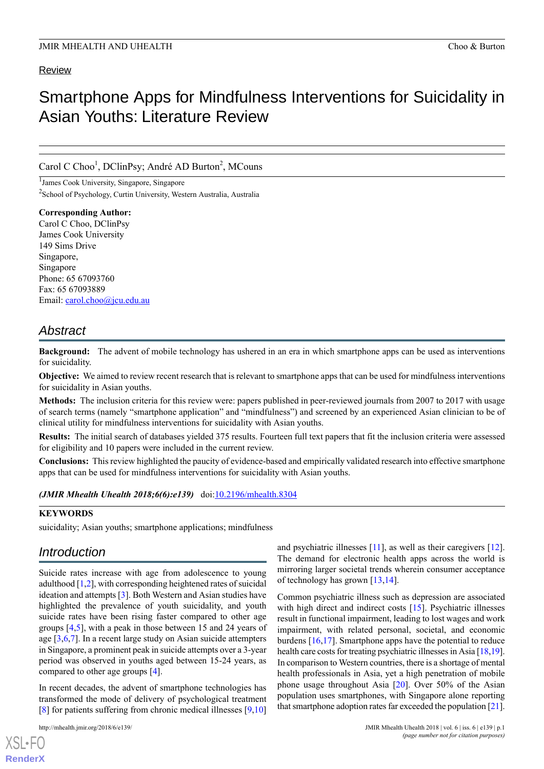## Review

# Smartphone Apps for Mindfulness Interventions for Suicidality in Asian Youths: Literature Review

## Carol C Choo<sup>1</sup>, DClinPsy; André AD Burton<sup>2</sup>, MCouns

1 James Cook University, Singapore, Singapore <sup>2</sup>School of Psychology, Curtin University, Western Australia, Australia

**Corresponding Author:** Carol C Choo, DClinPsy James Cook University 149 Sims Drive Singapore, Singapore Phone: 65 67093760 Fax: 65 67093889 Email: [carol.choo@jcu.edu.au](mailto:carol.choo@jcu.edu.au)

## *Abstract*

**Background:** The advent of mobile technology has ushered in an era in which smartphone apps can be used as interventions for suicidality.

**Objective:** We aimed to review recent research that is relevant to smartphone apps that can be used for mindfulness interventions for suicidality in Asian youths.

**Methods:** The inclusion criteria for this review were: papers published in peer-reviewed journals from 2007 to 2017 with usage of search terms (namely "smartphone application" and "mindfulness") and screened by an experienced Asian clinician to be of clinical utility for mindfulness interventions for suicidality with Asian youths.

**Results:** The initial search of databases yielded 375 results. Fourteen full text papers that fit the inclusion criteria were assessed for eligibility and 10 papers were included in the current review.

**Conclusions:** This review highlighted the paucity of evidence-based and empirically validated research into effective smartphone apps that can be used for mindfulness interventions for suicidality with Asian youths.

*(JMIR Mhealth Uhealth 2018;6(6):e139)* doi[:10.2196/mhealth.8304](http://dx.doi.org/10.2196/mhealth.8304)

## **KEYWORDS**

suicidality; Asian youths; smartphone applications; mindfulness

## *Introduction*

Suicide rates increase with age from adolescence to young adulthood  $[1,2]$  $[1,2]$  $[1,2]$ , with corresponding heightened rates of suicidal ideation and attempts [\[3](#page-4-2)]. Both Western and Asian studies have highlighted the prevalence of youth suicidality, and youth suicide rates have been rising faster compared to other age groups [[4](#page-4-3)[,5](#page-4-4)], with a peak in those between 15 and 24 years of age [\[3](#page-4-2),[6,](#page-4-5)[7](#page-4-6)]. In a recent large study on Asian suicide attempters in Singapore, a prominent peak in suicide attempts over a 3-year period was observed in youths aged between 15-24 years, as compared to other age groups [\[4](#page-4-3)].

In recent decades, the advent of smartphone technologies has transformed the mode of delivery of psychological treatment [[8\]](#page-4-7) for patients suffering from chronic medical illnesses [[9](#page-4-8)[,10](#page-4-9)]

and psychiatric illnesses [[11](#page-4-10)], as well as their caregivers [[12\]](#page-4-11). The demand for electronic health apps across the world is mirroring larger societal trends wherein consumer acceptance of technology has grown [[13,](#page-4-12)[14](#page-4-13)].

Common psychiatric illness such as depression are associated with high direct and indirect costs [[15\]](#page-4-14). Psychiatric illnesses result in functional impairment, leading to lost wages and work impairment, with related personal, societal, and economic burdens [[16,](#page-5-0)[17\]](#page-5-1). Smartphone apps have the potential to reduce health care costs for treating psychiatric illnesses in Asia [\[18](#page-5-2)[,19](#page-5-3)]. In comparison to Western countries, there is a shortage of mental health professionals in Asia, yet a high penetration of mobile phone usage throughout Asia [\[20](#page-5-4)]. Over 50% of the Asian population uses smartphones, with Singapore alone reporting that smartphone adoption rates far exceeded the population [\[21](#page-5-5)].

```
XSL•FO
RenderX
```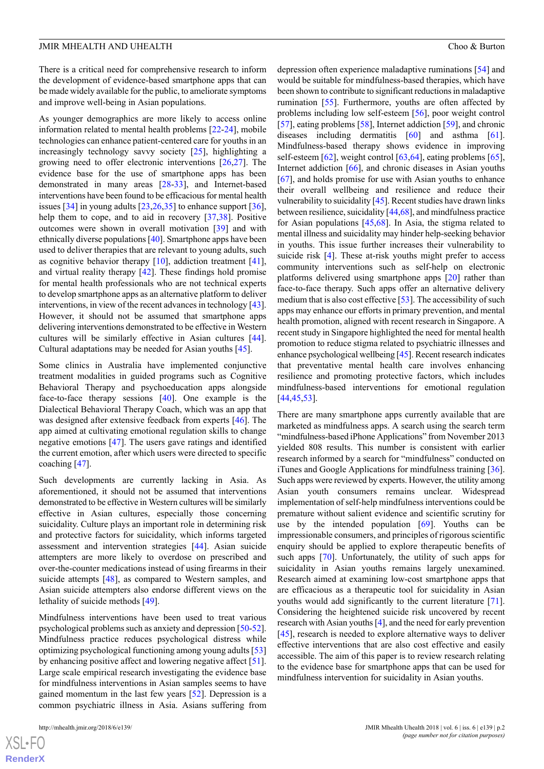There is a critical need for comprehensive research to inform the development of evidence-based smartphone apps that can be made widely available for the public, to ameliorate symptoms and improve well-being in Asian populations.

As younger demographics are more likely to access online information related to mental health problems [\[22](#page-5-6)-[24\]](#page-5-7), mobile technologies can enhance patient-centered care for youths in an increasingly technology savvy society [[25\]](#page-5-8), highlighting a growing need to offer electronic interventions [\[26](#page-5-9),[27\]](#page-5-10). The evidence base for the use of smartphone apps has been demonstrated in many areas [\[28](#page-5-11)-[33\]](#page-5-12), and Internet-based interventions have been found to be efficacious for mental health issues [\[34](#page-5-13)] in young adults [\[23](#page-5-14),[26,](#page-5-9)[35\]](#page-5-15) to enhance support [[36\]](#page-5-16), help them to cope, and to aid in recovery [[37](#page-5-17)[,38](#page-5-18)]. Positive outcomes were shown in overall motivation [[39\]](#page-5-19) and with ethnically diverse populations [\[40\]](#page-6-0). Smartphone apps have been used to deliver therapies that are relevant to young adults, such as cognitive behavior therapy [[10\]](#page-4-9), addiction treatment [[41\]](#page-6-1), and virtual reality therapy [[42\]](#page-6-2). These findings hold promise for mental health professionals who are not technical experts to develop smartphone apps as an alternative platform to deliver interventions, in view of the recent advances in technology [\[43\]](#page-6-3). However, it should not be assumed that smartphone apps delivering interventions demonstrated to be effective in Western cultures will be similarly effective in Asian cultures [[44\]](#page-6-4). Cultural adaptations may be needed for Asian youths [[45\]](#page-6-5).

Some clinics in Australia have implemented conjunctive treatment modalities in guided programs such as Cognitive Behavioral Therapy and psychoeducation apps alongside face-to-face therapy sessions [[40\]](#page-6-0). One example is the Dialectical Behavioral Therapy Coach, which was an app that was designed after extensive feedback from experts [\[46](#page-6-6)]. The app aimed at cultivating emotional regulation skills to change negative emotions [\[47](#page-6-7)]. The users gave ratings and identified the current emotion, after which users were directed to specific coaching [\[47](#page-6-7)].

Such developments are currently lacking in Asia. As aforementioned, it should not be assumed that interventions demonstrated to be effective in Western cultures will be similarly effective in Asian cultures, especially those concerning suicidality. Culture plays an important role in determining risk and protective factors for suicidality, which informs targeted assessment and intervention strategies [\[44](#page-6-4)]. Asian suicide attempters are more likely to overdose on prescribed and over-the-counter medications instead of using firearms in their suicide attempts [[48\]](#page-6-8), as compared to Western samples, and Asian suicide attempters also endorse different views on the lethality of suicide methods [\[49](#page-6-9)].

Mindfulness interventions have been used to treat various psychological problems such as anxiety and depression [[50-](#page-6-10)[52\]](#page-6-11). Mindfulness practice reduces psychological distress while optimizing psychological functioning among young adults [\[53](#page-6-12)] by enhancing positive affect and lowering negative affect [[51\]](#page-6-13). Large scale empirical research investigating the evidence base for mindfulness interventions in Asian samples seems to have gained momentum in the last few years [\[52](#page-6-11)]. Depression is a common psychiatric illness in Asia. Asians suffering from

depression often experience maladaptive ruminations [\[54](#page-6-14)] and would be suitable for mindfulness-based therapies, which have been shown to contribute to significant reductions in maladaptive rumination [\[55](#page-6-15)]. Furthermore, youths are often affected by problems including low self-esteem [\[56](#page-6-16)], poor weight control [[57\]](#page-6-17), eating problems [\[58](#page-6-18)], Internet addiction [\[59](#page-6-19)], and chronic diseases including dermatitis [[60\]](#page-6-20) and asthma [[61\]](#page-6-21). Mindfulness-based therapy shows evidence in improving self-esteem [[62\]](#page-7-0), weight control [[63,](#page-7-1)[64](#page-7-2)], eating problems [[65\]](#page-7-3), Internet addiction [[66\]](#page-7-4), and chronic diseases in Asian youths [[67\]](#page-7-5), and holds promise for use with Asian youths to enhance their overall wellbeing and resilience and reduce their vulnerability to suicidality [\[45\]](#page-6-5). Recent studies have drawn links between resilience, suicidality [\[44](#page-6-4)[,68](#page-7-6)], and mindfulness practice for Asian populations [[45,](#page-6-5)[68](#page-7-6)]. In Asia, the stigma related to mental illness and suicidality may hinder help-seeking behavior in youths. This issue further increases their vulnerability to suicide risk [\[4](#page-4-3)]. These at-risk youths might prefer to access community interventions such as self-help on electronic platforms delivered using smartphone apps [\[20](#page-5-4)] rather than face-to-face therapy. Such apps offer an alternative delivery medium that is also cost effective [[53\]](#page-6-12). The accessibility of such apps may enhance our efforts in primary prevention, and mental health promotion, aligned with recent research in Singapore. A recent study in Singapore highlighted the need for mental health promotion to reduce stigma related to psychiatric illnesses and enhance psychological wellbeing [\[45](#page-6-5)]. Recent research indicates that preventative mental health care involves enhancing resilience and promoting protective factors, which includes mindfulness-based interventions for emotional regulation [[44,](#page-6-4)[45,](#page-6-5)[53\]](#page-6-12).

There are many smartphone apps currently available that are marketed as mindfulness apps. A search using the search term "mindfulness-based iPhone Applications" from November 2013 yielded 808 results. This number is consistent with earlier research informed by a search for "mindfulness" conducted on iTunes and Google Applications for mindfulness training [[36\]](#page-5-16). Such apps were reviewed by experts. However, the utility among Asian youth consumers remains unclear. Widespread implementation of self-help mindfulness interventions could be premature without salient evidence and scientific scrutiny for use by the intended population  $[69]$  $[69]$ . Youths can be impressionable consumers, and principles of rigorous scientific enquiry should be applied to explore therapeutic benefits of such apps [\[70](#page-7-8)]. Unfortunately, the utility of such apps for suicidality in Asian youths remains largely unexamined. Research aimed at examining low-cost smartphone apps that are efficacious as a therapeutic tool for suicidality in Asian youths would add significantly to the current literature [[71\]](#page-7-9). Considering the heightened suicide risk uncovered by recent research with Asian youths [\[4](#page-4-3)], and the need for early prevention [[45\]](#page-6-5), research is needed to explore alternative ways to deliver effective interventions that are also cost effective and easily accessible. The aim of this paper is to review research relating to the evidence base for smartphone apps that can be used for mindfulness intervention for suicidality in Asian youths.

```
XS-FO
RenderX
```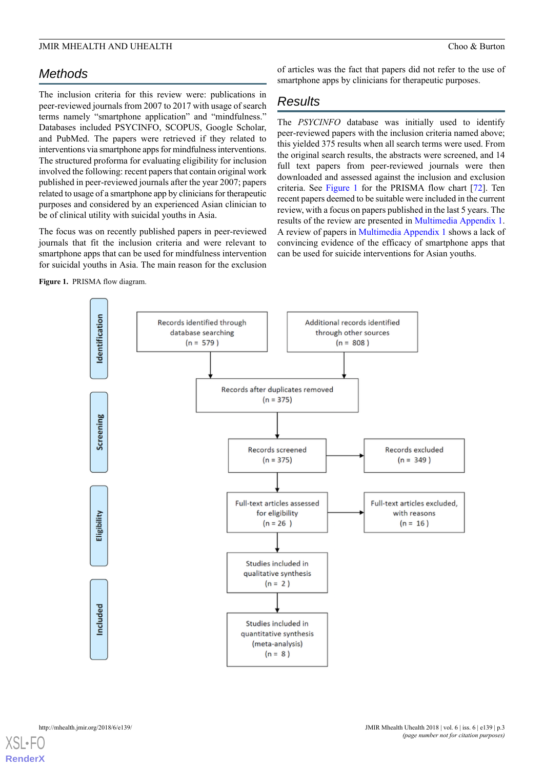# *Methods*

The inclusion criteria for this review were: publications in peer-reviewed journals from 2007 to 2017 with usage of search terms namely "smartphone application" and "mindfulness." Databases included PSYCINFO, SCOPUS, Google Scholar, and PubMed. The papers were retrieved if they related to interventions via smartphone apps for mindfulness interventions. The structured proforma for evaluating eligibility for inclusion involved the following: recent papers that contain original work published in peer-reviewed journals after the year 2007; papers related to usage of a smartphone app by clinicians for therapeutic purposes and considered by an experienced Asian clinician to be of clinical utility with suicidal youths in Asia.

<span id="page-2-0"></span>The focus was on recently published papers in peer-reviewed journals that fit the inclusion criteria and were relevant to smartphone apps that can be used for mindfulness intervention for suicidal youths in Asia. The main reason for the exclusion

**Figure 1.** PRISMA flow diagram.

of articles was the fact that papers did not refer to the use of smartphone apps by clinicians for therapeutic purposes.

# *Results*

The *PSYCINFO* database was initially used to identify peer-reviewed papers with the inclusion criteria named above; this yielded 375 results when all search terms were used. From the original search results, the abstracts were screened, and 14 full text papers from peer-reviewed journals were then downloaded and assessed against the inclusion and exclusion criteria. See [Figure 1](#page-2-0) for the PRISMA flow chart [\[72](#page-7-10)]. Ten recent papers deemed to be suitable were included in the current review, with a focus on papers published in the last 5 years. The results of the review are presented in [Multimedia Appendix 1](#page-4-15). A review of papers in [Multimedia Appendix 1](#page-4-15) shows a lack of convincing evidence of the efficacy of smartphone apps that can be used for suicide interventions for Asian youths.

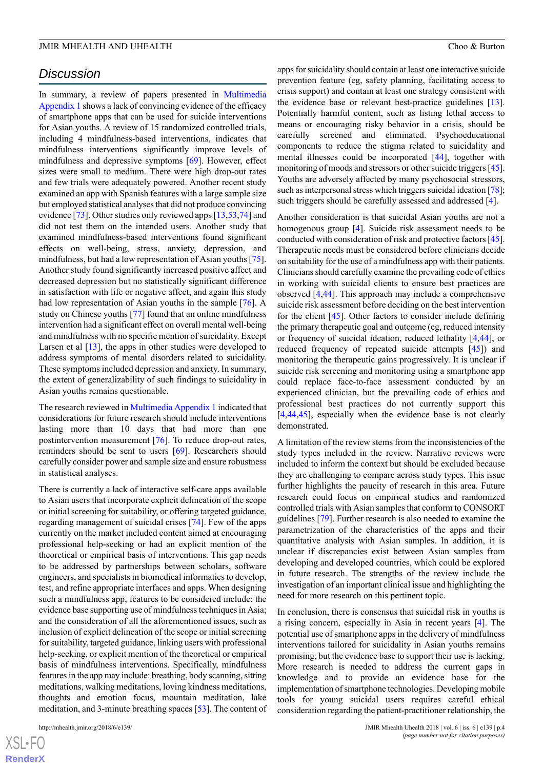## *Discussion*

In summary, a review of papers presented in [Multimedia](#page-4-15) [Appendix 1](#page-4-15) shows a lack of convincing evidence of the efficacy of smartphone apps that can be used for suicide interventions for Asian youths. A review of 15 randomized controlled trials, including 4 mindfulness-based interventions, indicates that mindfulness interventions significantly improve levels of mindfulness and depressive symptoms [\[69](#page-7-7)]. However, effect sizes were small to medium. There were high drop-out rates and few trials were adequately powered. Another recent study examined an app with Spanish features with a large sample size but employed statistical analyses that did not produce convincing evidence [\[73](#page-7-11)]. Other studies only reviewed apps [[13,](#page-4-12)[53,](#page-6-12)[74\]](#page-7-12) and did not test them on the intended users. Another study that examined mindfulness-based interventions found significant effects on well-being, stress, anxiety, depression, and mindfulness, but had a low representation of Asian youths [[75\]](#page-7-13). Another study found significantly increased positive affect and decreased depression but no statistically significant difference in satisfaction with life or negative affect, and again this study had low representation of Asian youths in the sample [[76\]](#page-7-14). A study on Chinese youths [\[77](#page-7-15)] found that an online mindfulness intervention had a significant effect on overall mental well-being and mindfulness with no specific mention of suicidality. Except Larsen et al  $[13]$  $[13]$ , the apps in other studies were developed to address symptoms of mental disorders related to suicidality. These symptoms included depression and anxiety. In summary, the extent of generalizability of such findings to suicidality in Asian youths remains questionable.

The research reviewed in [Multimedia Appendix 1](#page-4-15) indicated that considerations for future research should include interventions lasting more than 10 days that had more than one postintervention measurement [\[76](#page-7-14)]. To reduce drop-out rates, reminders should be sent to users [\[69](#page-7-7)]. Researchers should carefully consider power and sample size and ensure robustness in statistical analyses.

There is currently a lack of interactive self-care apps available to Asian users that incorporate explicit delineation of the scope or initial screening for suitability, or offering targeted guidance, regarding management of suicidal crises [[74\]](#page-7-12). Few of the apps currently on the market included content aimed at encouraging professional help-seeking or had an explicit mention of the theoretical or empirical basis of interventions. This gap needs to be addressed by partnerships between scholars, software engineers, and specialists in biomedical informatics to develop, test, and refine appropriate interfaces and apps. When designing such a mindfulness app, features to be considered include: the evidence base supporting use of mindfulness techniques in Asia; and the consideration of all the aforementioned issues, such as inclusion of explicit delineation of the scope or initial screening for suitability, targeted guidance, linking users with professional help-seeking, or explicit mention of the theoretical or empirical basis of mindfulness interventions. Specifically, mindfulness features in the app may include: breathing, body scanning, sitting meditations, walking meditations, loving kindness meditations, thoughts and emotion focus, mountain meditation, lake meditation, and 3-minute breathing spaces [\[53](#page-6-12)]. The content of apps for suicidality should contain at least one interactive suicide prevention feature (eg, safety planning, facilitating access to crisis support) and contain at least one strategy consistent with the evidence base or relevant best-practice guidelines [[13\]](#page-4-12). Potentially harmful content, such as listing lethal access to means or encouraging risky behavior in a crisis, should be carefully screened and eliminated. Psychoeducational components to reduce the stigma related to suicidality and mental illnesses could be incorporated [\[44](#page-6-4)], together with monitoring of moods and stressors or other suicide triggers [\[45](#page-6-5)]. Youths are adversely affected by many psychosocial stressors, such as interpersonal stress which triggers suicidal ideation [\[78\]](#page-7-16); such triggers should be carefully assessed and addressed [\[4](#page-4-3)].

Another consideration is that suicidal Asian youths are not a homogenous group [\[4](#page-4-3)]. Suicide risk assessment needs to be conducted with consideration of risk and protective factors [\[45\]](#page-6-5). Therapeutic needs must be considered before clinicians decide on suitability for the use of a mindfulness app with their patients. Clinicians should carefully examine the prevailing code of ethics in working with suicidal clients to ensure best practices are observed [[4,](#page-4-3)[44\]](#page-6-4). This approach may include a comprehensive suicide risk assessment before deciding on the best intervention for the client [[45\]](#page-6-5). Other factors to consider include defining the primary therapeutic goal and outcome (eg, reduced intensity or frequency of suicidal ideation, reduced lethality [[4,](#page-4-3)[44](#page-6-4)], or reduced frequency of repeated suicide attempts [\[45](#page-6-5)]) and monitoring the therapeutic gains progressively. It is unclear if suicide risk screening and monitoring using a smartphone app could replace face-to-face assessment conducted by an experienced clinician, but the prevailing code of ethics and professional best practices do not currently support this [[4](#page-4-3)[,44](#page-6-4),[45\]](#page-6-5), especially when the evidence base is not clearly demonstrated.

A limitation of the review stems from the inconsistencies of the study types included in the review. Narrative reviews were included to inform the context but should be excluded because they are challenging to compare across study types. This issue further highlights the paucity of research in this area. Future research could focus on empirical studies and randomized controlled trials with Asian samples that conform to CONSORT guidelines [\[79](#page-7-17)]. Further research is also needed to examine the parametrization of the characteristics of the apps and their quantitative analysis with Asian samples. In addition, it is unclear if discrepancies exist between Asian samples from developing and developed countries, which could be explored in future research. The strengths of the review include the investigation of an important clinical issue and highlighting the need for more research on this pertinent topic.

In conclusion, there is consensus that suicidal risk in youths is a rising concern, especially in Asia in recent years [\[4\]](#page-4-3). The potential use of smartphone apps in the delivery of mindfulness interventions tailored for suicidality in Asian youths remains promising, but the evidence base to support their use is lacking. More research is needed to address the current gaps in knowledge and to provide an evidence base for the implementation of smartphone technologies. Developing mobile tools for young suicidal users requires careful ethical consideration regarding the patient-practitioner relationship, the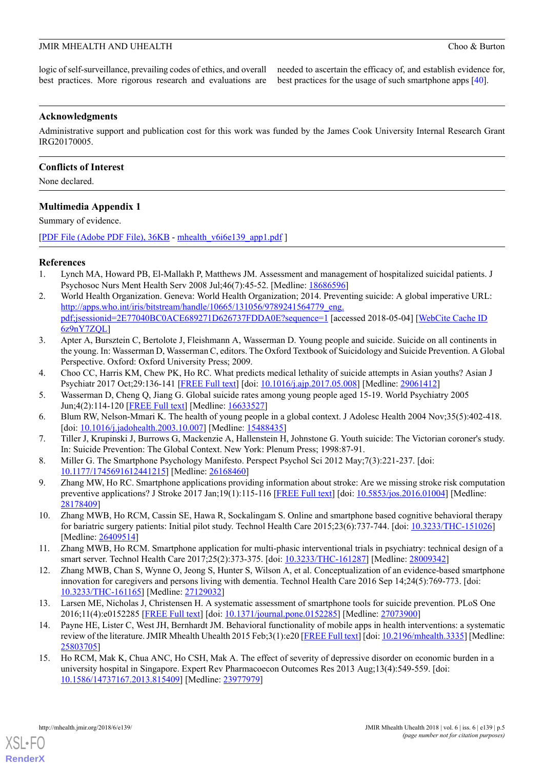logic of self-surveillance, prevailing codes of ethics, and overall best practices. More rigorous research and evaluations are needed to ascertain the efficacy of, and establish evidence for, best practices for the usage of such smartphone apps [\[40](#page-6-0)].

## **Acknowledgments**

Administrative support and publication cost for this work was funded by the James Cook University Internal Research Grant IRG20170005.

## **Conflicts of Interest**

<span id="page-4-15"></span>None declared.

## **Multimedia Appendix 1**

Summary of evidence.

<span id="page-4-0"></span>[[PDF File \(Adobe PDF File\), 36KB](http://mhealth.jmir.org/article/downloadSuppFile/8304/74907) - [mhealth\\_v6i6e139\\_app1.pdf](http://mhealth.jmir.org/article/downloadSuppFile/8304/74907) ]

## <span id="page-4-1"></span>**References**

- 1. Lynch MA, Howard PB, El-Mallakh P, Matthews JM. Assessment and management of hospitalized suicidal patients. J Psychosoc Nurs Ment Health Serv 2008 Jul;46(7):45-52. [Medline: [18686596](http://www.ncbi.nlm.nih.gov/entrez/query.fcgi?cmd=Retrieve&db=PubMed&list_uids=18686596&dopt=Abstract)]
- <span id="page-4-2"></span>2. World Health Organization. Geneva: World Health Organization; 2014. Preventing suicide: A global imperative URL: [http://apps.who.int/iris/bitstream/handle/10665/131056/9789241564779\\_eng.](http://apps.who.int/iris/bitstream/handle/10665/131056/9789241564779_eng.pdf;jsessionid=2E77040BC0ACE689271D626737FDDA0E?sequence=1) [pdf;jsessionid=2E77040BC0ACE689271D626737FDDA0E?sequence=1](http://apps.who.int/iris/bitstream/handle/10665/131056/9789241564779_eng.pdf;jsessionid=2E77040BC0ACE689271D626737FDDA0E?sequence=1) [accessed 2018-05-04] [\[WebCite Cache ID](http://www.webcitation.org/6z9nY7ZQL) [6z9nY7ZQL\]](http://www.webcitation.org/6z9nY7ZQL)
- <span id="page-4-3"></span>3. Apter A, Bursztein C, Bertolote J, Fleishmann A, Wasserman D. Young people and suicide. Suicide on all continents in the young. In: Wasserman D, Wasserman C, editors. The Oxford Textbook of Suicidology and Suicide Prevention. A Global Perspective. Oxford: Oxford University Press; 2009.
- <span id="page-4-5"></span><span id="page-4-4"></span>4. Choo CC, Harris KM, Chew PK, Ho RC. What predicts medical lethality of suicide attempts in Asian youths? Asian J Psychiatr 2017 Oct;29:136-141 [[FREE Full text](https://linkinghub.elsevier.com/retrieve/pii/S1876-2018(17)30148-X)] [doi: [10.1016/j.ajp.2017.05.008\]](http://dx.doi.org/10.1016/j.ajp.2017.05.008) [Medline: [29061412](http://www.ncbi.nlm.nih.gov/entrez/query.fcgi?cmd=Retrieve&db=PubMed&list_uids=29061412&dopt=Abstract)]
- <span id="page-4-6"></span>5. Wasserman D, Cheng Q, Jiang G. Global suicide rates among young people aged 15-19. World Psychiatry 2005 Jun;4(2):114-120 [\[FREE Full text\]](http://onlinelibrary.wiley.com/resolve/openurl?genre=article&sid=nlm:pubmed&issn=1723-8617&date=2005&volume=4&issue=2&spage=114) [Medline: [16633527\]](http://www.ncbi.nlm.nih.gov/entrez/query.fcgi?cmd=Retrieve&db=PubMed&list_uids=16633527&dopt=Abstract)
- <span id="page-4-7"></span>6. Blum RW, Nelson-Mmari K. The health of young people in a global context. J Adolesc Health 2004 Nov;35(5):402-418. [doi: [10.1016/j.jadohealth.2003.10.007](http://dx.doi.org/10.1016/j.jadohealth.2003.10.007)] [Medline: [15488435](http://www.ncbi.nlm.nih.gov/entrez/query.fcgi?cmd=Retrieve&db=PubMed&list_uids=15488435&dopt=Abstract)]
- <span id="page-4-8"></span>7. Tiller J, Krupinski J, Burrows G, Mackenzie A, Hallenstein H, Johnstone G. Youth suicide: The Victorian coroner's study. In: Suicide Prevention: The Global Context. New York: Plenum Press; 1998:87-91.
- <span id="page-4-9"></span>8. Miller G. The Smartphone Psychology Manifesto. Perspect Psychol Sci 2012 May;7(3):221-237. [doi: [10.1177/1745691612441215](http://dx.doi.org/10.1177/1745691612441215)] [Medline: [26168460](http://www.ncbi.nlm.nih.gov/entrez/query.fcgi?cmd=Retrieve&db=PubMed&list_uids=26168460&dopt=Abstract)]
- <span id="page-4-10"></span>9. Zhang MW, Ho RC. Smartphone applications providing information about stroke: Are we missing stroke risk computation preventive applications? J Stroke 2017 Jan;19(1):115-116 [[FREE Full text](https://dx.doi.org/10.5853/jos.2016.01004)] [doi: [10.5853/jos.2016.01004](http://dx.doi.org/10.5853/jos.2016.01004)] [Medline: [28178409](http://www.ncbi.nlm.nih.gov/entrez/query.fcgi?cmd=Retrieve&db=PubMed&list_uids=28178409&dopt=Abstract)]
- <span id="page-4-11"></span>10. Zhang MWB, Ho RCM, Cassin SE, Hawa R, Sockalingam S. Online and smartphone based cognitive behavioral therapy for bariatric surgery patients: Initial pilot study. Technol Health Care 2015;23(6):737-744. [doi: [10.3233/THC-151026\]](http://dx.doi.org/10.3233/THC-151026) [Medline: [26409514](http://www.ncbi.nlm.nih.gov/entrez/query.fcgi?cmd=Retrieve&db=PubMed&list_uids=26409514&dopt=Abstract)]
- <span id="page-4-12"></span>11. Zhang MWB, Ho RCM. Smartphone application for multi-phasic interventional trials in psychiatry: technical design of a smart server. Technol Health Care 2017;25(2):373-375. [doi: [10.3233/THC-161287\]](http://dx.doi.org/10.3233/THC-161287) [Medline: [28009342](http://www.ncbi.nlm.nih.gov/entrez/query.fcgi?cmd=Retrieve&db=PubMed&list_uids=28009342&dopt=Abstract)]
- <span id="page-4-13"></span>12. Zhang MWB, Chan S, Wynne O, Jeong S, Hunter S, Wilson A, et al. Conceptualization of an evidence-based smartphone innovation for caregivers and persons living with dementia. Technol Health Care 2016 Sep 14;24(5):769-773. [doi: [10.3233/THC-161165\]](http://dx.doi.org/10.3233/THC-161165) [Medline: [27129032](http://www.ncbi.nlm.nih.gov/entrez/query.fcgi?cmd=Retrieve&db=PubMed&list_uids=27129032&dopt=Abstract)]
- <span id="page-4-14"></span>13. Larsen ME, Nicholas J, Christensen H. A systematic assessment of smartphone tools for suicide prevention. PLoS One 2016;11(4):e0152285 [[FREE Full text](http://dx.plos.org/10.1371/journal.pone.0152285)] [doi: [10.1371/journal.pone.0152285](http://dx.doi.org/10.1371/journal.pone.0152285)] [Medline: [27073900](http://www.ncbi.nlm.nih.gov/entrez/query.fcgi?cmd=Retrieve&db=PubMed&list_uids=27073900&dopt=Abstract)]
- 14. Payne HE, Lister C, West JH, Bernhardt JM. Behavioral functionality of mobile apps in health interventions: a systematic review of the literature. JMIR Mhealth Uhealth 2015 Feb;3(1):e20 [[FREE Full text](http://mhealth.jmir.org/2015/1/e20/)] [doi: [10.2196/mhealth.3335](http://dx.doi.org/10.2196/mhealth.3335)] [Medline: [25803705](http://www.ncbi.nlm.nih.gov/entrez/query.fcgi?cmd=Retrieve&db=PubMed&list_uids=25803705&dopt=Abstract)]
- 15. Ho RCM, Mak K, Chua ANC, Ho CSH, Mak A. The effect of severity of depressive disorder on economic burden in a university hospital in Singapore. Expert Rev Pharmacoecon Outcomes Res 2013 Aug;13(4):549-559. [doi: [10.1586/14737167.2013.815409\]](http://dx.doi.org/10.1586/14737167.2013.815409) [Medline: [23977979](http://www.ncbi.nlm.nih.gov/entrez/query.fcgi?cmd=Retrieve&db=PubMed&list_uids=23977979&dopt=Abstract)]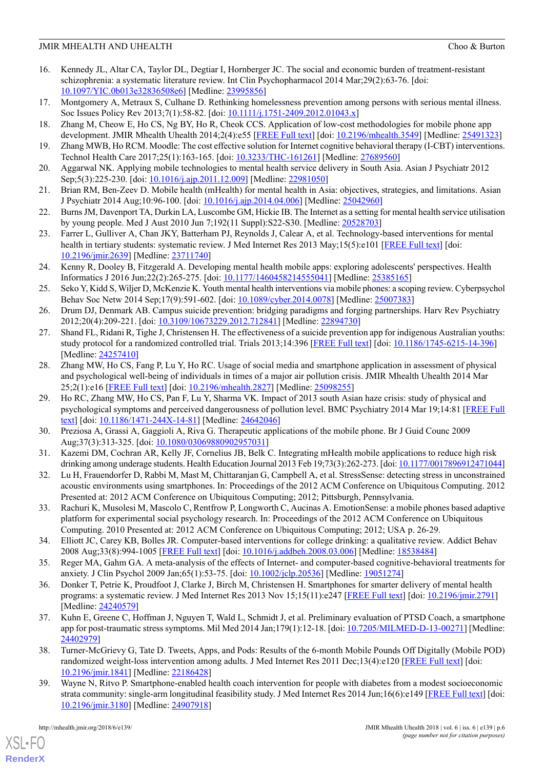- <span id="page-5-0"></span>16. Kennedy JL, Altar CA, Taylor DL, Degtiar I, Hornberger JC. The social and economic burden of treatment-resistant schizophrenia: a systematic literature review. Int Clin Psychopharmacol 2014 Mar;29(2):63-76. [doi: [10.1097/YIC.0b013e32836508e6](http://dx.doi.org/10.1097/YIC.0b013e32836508e6)] [Medline: [23995856](http://www.ncbi.nlm.nih.gov/entrez/query.fcgi?cmd=Retrieve&db=PubMed&list_uids=23995856&dopt=Abstract)]
- <span id="page-5-2"></span><span id="page-5-1"></span>17. Montgomery A, Metraux S, Culhane D. Rethinking homelessness prevention among persons with serious mental illness. Soc Issues Policy Rev 2013;7(1):58-82. [doi:  $10.1111/j.1751-2409.2012.01043.x$ ]
- <span id="page-5-3"></span>18. Zhang M, Cheow E, Ho CS, Ng BY, Ho R, Cheok CCS. Application of low-cost methodologies for mobile phone app development. JMIR Mhealth Uhealth 2014;2(4):e55 [[FREE Full text](http://mhealth.jmir.org/2014/4/e55/)] [doi: [10.2196/mhealth.3549](http://dx.doi.org/10.2196/mhealth.3549)] [Medline: [25491323](http://www.ncbi.nlm.nih.gov/entrez/query.fcgi?cmd=Retrieve&db=PubMed&list_uids=25491323&dopt=Abstract)]
- <span id="page-5-4"></span>19. Zhang MWB, Ho RCM. Moodle: The cost effective solution for Internet cognitive behavioral therapy (I-CBT) interventions. Technol Health Care 2017;25(1):163-165. [doi: [10.3233/THC-161261](http://dx.doi.org/10.3233/THC-161261)] [Medline: [27689560\]](http://www.ncbi.nlm.nih.gov/entrez/query.fcgi?cmd=Retrieve&db=PubMed&list_uids=27689560&dopt=Abstract)
- <span id="page-5-5"></span>20. Aggarwal NK. Applying mobile technologies to mental health service delivery in South Asia. Asian J Psychiatr 2012 Sep;5(3):225-230. [doi: [10.1016/j.ajp.2011.12.009](http://dx.doi.org/10.1016/j.ajp.2011.12.009)] [Medline: [22981050\]](http://www.ncbi.nlm.nih.gov/entrez/query.fcgi?cmd=Retrieve&db=PubMed&list_uids=22981050&dopt=Abstract)
- <span id="page-5-6"></span>21. Brian RM, Ben-Zeev D. Mobile health (mHealth) for mental health in Asia: objectives, strategies, and limitations. Asian J Psychiatr 2014 Aug;10:96-100. [doi: [10.1016/j.ajp.2014.04.006\]](http://dx.doi.org/10.1016/j.ajp.2014.04.006) [Medline: [25042960\]](http://www.ncbi.nlm.nih.gov/entrez/query.fcgi?cmd=Retrieve&db=PubMed&list_uids=25042960&dopt=Abstract)
- <span id="page-5-14"></span>22. Burns JM, Davenport TA, Durkin LA, Luscombe GM, Hickie IB. The Internet as a setting for mental health service utilisation by young people. Med J Aust 2010 Jun 7;192(11 Suppl):S22-S30. [Medline: [20528703\]](http://www.ncbi.nlm.nih.gov/entrez/query.fcgi?cmd=Retrieve&db=PubMed&list_uids=20528703&dopt=Abstract)
- <span id="page-5-7"></span>23. Farrer L, Gulliver A, Chan JKY, Batterham PJ, Reynolds J, Calear A, et al. Technology-based interventions for mental health in tertiary students: systematic review. J Med Internet Res 2013 May;15(5):e101 [[FREE Full text](http://www.jmir.org/2013/5/e101/)] [doi: [10.2196/jmir.2639](http://dx.doi.org/10.2196/jmir.2639)] [Medline: [23711740\]](http://www.ncbi.nlm.nih.gov/entrez/query.fcgi?cmd=Retrieve&db=PubMed&list_uids=23711740&dopt=Abstract)
- <span id="page-5-8"></span>24. Kenny R, Dooley B, Fitzgerald A. Developing mental health mobile apps: exploring adolescents' perspectives. Health Informatics J 2016 Jun;22(2):265-275. [doi: [10.1177/1460458214555041\]](http://dx.doi.org/10.1177/1460458214555041) [Medline: [25385165](http://www.ncbi.nlm.nih.gov/entrez/query.fcgi?cmd=Retrieve&db=PubMed&list_uids=25385165&dopt=Abstract)]
- <span id="page-5-9"></span>25. Seko Y, Kidd S, Wiljer D, McKenzie K. Youth mental health interventions via mobile phones: a scoping review. Cyberpsychol Behav Soc Netw 2014 Sep;17(9):591-602. [doi: [10.1089/cyber.2014.0078](http://dx.doi.org/10.1089/cyber.2014.0078)] [Medline: [25007383](http://www.ncbi.nlm.nih.gov/entrez/query.fcgi?cmd=Retrieve&db=PubMed&list_uids=25007383&dopt=Abstract)]
- <span id="page-5-10"></span>26. Drum DJ, Denmark AB. Campus suicide prevention: bridging paradigms and forging partnerships. Harv Rev Psychiatry 2012;20(4):209-221. [doi: [10.3109/10673229.2012.712841\]](http://dx.doi.org/10.3109/10673229.2012.712841) [Medline: [22894730](http://www.ncbi.nlm.nih.gov/entrez/query.fcgi?cmd=Retrieve&db=PubMed&list_uids=22894730&dopt=Abstract)]
- <span id="page-5-11"></span>27. Shand FL, Ridani R, Tighe J, Christensen H. The effectiveness of a suicide prevention app for indigenous Australian youths: study protocol for a randomized controlled trial. Trials 2013;14:396 [\[FREE Full text\]](http://www.trialsjournal.com/content/14//396) [doi: [10.1186/1745-6215-14-396\]](http://dx.doi.org/10.1186/1745-6215-14-396) [Medline: [24257410](http://www.ncbi.nlm.nih.gov/entrez/query.fcgi?cmd=Retrieve&db=PubMed&list_uids=24257410&dopt=Abstract)]
- 28. Zhang MW, Ho CS, Fang P, Lu Y, Ho RC. Usage of social media and smartphone application in assessment of physical and psychological well-being of individuals in times of a major air pollution crisis. JMIR Mhealth Uhealth 2014 Mar 25;2(1):e16 [[FREE Full text\]](http://mhealth.jmir.org/2014/1/e16/) [doi: [10.2196/mhealth.2827\]](http://dx.doi.org/10.2196/mhealth.2827) [Medline: [25098255](http://www.ncbi.nlm.nih.gov/entrez/query.fcgi?cmd=Retrieve&db=PubMed&list_uids=25098255&dopt=Abstract)]
- 29. Ho RC, Zhang MW, Ho CS, Pan F, Lu Y, Sharma VK. Impact of 2013 south Asian haze crisis: study of physical and psychological symptoms and perceived dangerousness of pollution level. BMC Psychiatry 2014 Mar 19;14:81 [\[FREE Full](http://bmcpsychiatry.biomedcentral.com/articles/10.1186/1471-244X-14-81) [text\]](http://bmcpsychiatry.biomedcentral.com/articles/10.1186/1471-244X-14-81) [doi: [10.1186/1471-244X-14-81\]](http://dx.doi.org/10.1186/1471-244X-14-81) [Medline: [24642046\]](http://www.ncbi.nlm.nih.gov/entrez/query.fcgi?cmd=Retrieve&db=PubMed&list_uids=24642046&dopt=Abstract)
- 30. Preziosa A, Grassi A, Gaggioli A, Riva G. Therapeutic applications of the mobile phone. Br J Guid Counc 2009 Aug;37(3):313-325. [doi: [10.1080/03069880902957031\]](http://dx.doi.org/10.1080/03069880902957031)
- <span id="page-5-12"></span>31. Kazemi DM, Cochran AR, Kelly JF, Cornelius JB, Belk C. Integrating mHealth mobile applications to reduce high risk drinking among underage students. Health Education Journal 2013 Feb 19;73(3):262-273. [doi: [10.1177/0017896912471044](http://dx.doi.org/10.1177/0017896912471044)]
- <span id="page-5-13"></span>32. Lu H, Frauendorfer D, Rabbi M, Mast M, Chittaranjan G, Campbell A, et al. StressSense: detecting stress in unconstrained acoustic environments using smartphones. In: Proceedings of the 2012 ACM Conference on Ubiquitous Computing. 2012 Presented at: 2012 ACM Conference on Ubiquitous Computing; 2012; Pittsburgh, Pennsylvania.
- <span id="page-5-15"></span>33. Rachuri K, Musolesi M, Mascolo C, Rentfrow P, Longworth C, Aucinas A. EmotionSense: a mobile phones based adaptive platform for experimental social psychology research. In: Proceedings of the 2012 ACM Conference on Ubiquitous Computing. 2010 Presented at: 2012 ACM Conference on Ubiquitous Computing; 2012; USA p. 26-29.
- <span id="page-5-16"></span>34. Elliott JC, Carey KB, Bolles JR. Computer-based interventions for college drinking: a qualitative review. Addict Behav 2008 Aug;33(8):994-1005 [[FREE Full text](http://europepmc.org/abstract/MED/18538484)] [doi: [10.1016/j.addbeh.2008.03.006](http://dx.doi.org/10.1016/j.addbeh.2008.03.006)] [Medline: [18538484\]](http://www.ncbi.nlm.nih.gov/entrez/query.fcgi?cmd=Retrieve&db=PubMed&list_uids=18538484&dopt=Abstract)
- <span id="page-5-17"></span>35. Reger MA, Gahm GA. A meta-analysis of the effects of Internet- and computer-based cognitive-behavioral treatments for anxiety. J Clin Psychol 2009 Jan;65(1):53-75. [doi: [10.1002/jclp.20536\]](http://dx.doi.org/10.1002/jclp.20536) [Medline: [19051274\]](http://www.ncbi.nlm.nih.gov/entrez/query.fcgi?cmd=Retrieve&db=PubMed&list_uids=19051274&dopt=Abstract)
- <span id="page-5-18"></span>36. Donker T, Petrie K, Proudfoot J, Clarke J, Birch M, Christensen H. Smartphones for smarter delivery of mental health programs: a systematic review. J Med Internet Res 2013 Nov 15;15(11):e247 [\[FREE Full text\]](http://www.jmir.org/2013/11/e247/) [doi: [10.2196/jmir.2791\]](http://dx.doi.org/10.2196/jmir.2791) [Medline: [24240579](http://www.ncbi.nlm.nih.gov/entrez/query.fcgi?cmd=Retrieve&db=PubMed&list_uids=24240579&dopt=Abstract)]
- <span id="page-5-19"></span>37. Kuhn E, Greene C, Hoffman J, Nguyen T, Wald L, Schmidt J, et al. Preliminary evaluation of PTSD Coach, a smartphone app for post-traumatic stress symptoms. Mil Med 2014 Jan;179(1):12-18. [doi: [10.7205/MILMED-D-13-00271\]](http://dx.doi.org/10.7205/MILMED-D-13-00271) [Medline: [24402979](http://www.ncbi.nlm.nih.gov/entrez/query.fcgi?cmd=Retrieve&db=PubMed&list_uids=24402979&dopt=Abstract)]
- 38. Turner-McGrievy G, Tate D. Tweets, Apps, and Pods: Results of the 6-month Mobile Pounds Off Digitally (Mobile POD) randomized weight-loss intervention among adults. J Med Internet Res 2011 Dec;13(4):e120 [[FREE Full text\]](http://www.jmir.org/2011/4/e120/) [doi: [10.2196/jmir.1841](http://dx.doi.org/10.2196/jmir.1841)] [Medline: [22186428](http://www.ncbi.nlm.nih.gov/entrez/query.fcgi?cmd=Retrieve&db=PubMed&list_uids=22186428&dopt=Abstract)]
- 39. Wayne N, Ritvo P. Smartphone-enabled health coach intervention for people with diabetes from a modest socioeconomic strata community: single-arm longitudinal feasibility study. J Med Internet Res 2014 Jun;16(6):e149 [[FREE Full text](http://www.jmir.org/2014/6/e149/)] [doi: [10.2196/jmir.3180](http://dx.doi.org/10.2196/jmir.3180)] [Medline: [24907918](http://www.ncbi.nlm.nih.gov/entrez/query.fcgi?cmd=Retrieve&db=PubMed&list_uids=24907918&dopt=Abstract)]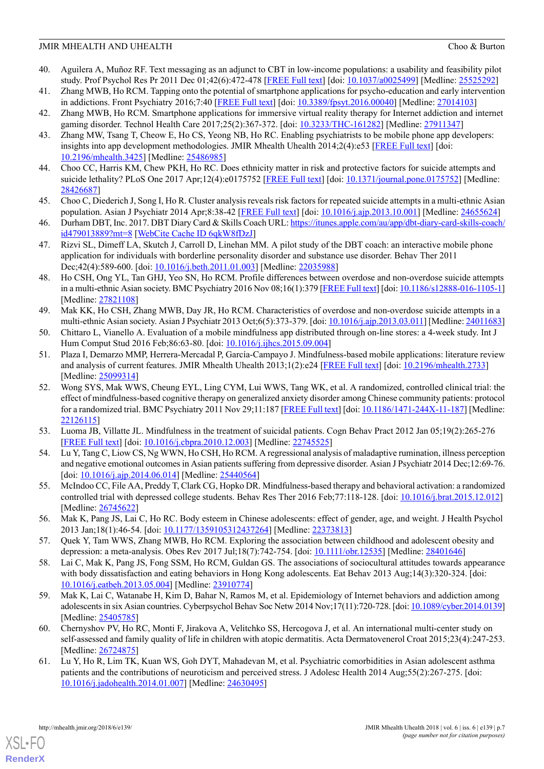- <span id="page-6-0"></span>40. Aguilera A, Muñoz RF. Text messaging as an adjunct to CBT in low-income populations: a usability and feasibility pilot study. Prof Psychol Res Pr 2011 Dec 01;42(6):472-478 [\[FREE Full text\]](http://europepmc.org/abstract/MED/25525292) [doi: [10.1037/a0025499\]](http://dx.doi.org/10.1037/a0025499) [Medline: [25525292](http://www.ncbi.nlm.nih.gov/entrez/query.fcgi?cmd=Retrieve&db=PubMed&list_uids=25525292&dopt=Abstract)]
- <span id="page-6-1"></span>41. Zhang MWB, Ho RCM. Tapping onto the potential of smartphone applications for psycho-education and early intervention in addictions. Front Psychiatry 2016;7:40 [\[FREE Full text](https://dx.doi.org/10.3389/fpsyt.2016.00040)] [doi: [10.3389/fpsyt.2016.00040](http://dx.doi.org/10.3389/fpsyt.2016.00040)] [Medline: [27014103\]](http://www.ncbi.nlm.nih.gov/entrez/query.fcgi?cmd=Retrieve&db=PubMed&list_uids=27014103&dopt=Abstract)
- <span id="page-6-3"></span><span id="page-6-2"></span>42. Zhang MWB, Ho RCM. Smartphone applications for immersive virtual reality therapy for Internet addiction and internet gaming disorder. Technol Health Care 2017;25(2):367-372. [doi: [10.3233/THC-161282\]](http://dx.doi.org/10.3233/THC-161282) [Medline: [27911347](http://www.ncbi.nlm.nih.gov/entrez/query.fcgi?cmd=Retrieve&db=PubMed&list_uids=27911347&dopt=Abstract)]
- 43. Zhang MW, Tsang T, Cheow E, Ho CS, Yeong NB, Ho RC. Enabling psychiatrists to be mobile phone app developers: insights into app development methodologies. JMIR Mhealth Uhealth 2014;2(4):e53 [[FREE Full text](http://mhealth.jmir.org/2014/4/e53/)] [doi: [10.2196/mhealth.3425](http://dx.doi.org/10.2196/mhealth.3425)] [Medline: [25486985](http://www.ncbi.nlm.nih.gov/entrez/query.fcgi?cmd=Retrieve&db=PubMed&list_uids=25486985&dopt=Abstract)]
- <span id="page-6-5"></span><span id="page-6-4"></span>44. Choo CC, Harris KM, Chew PKH, Ho RC. Does ethnicity matter in risk and protective factors for suicide attempts and suicide lethality? PLoS One 2017 Apr;12(4):e0175752 [\[FREE Full text\]](http://dx.plos.org/10.1371/journal.pone.0175752) [doi: [10.1371/journal.pone.0175752](http://dx.doi.org/10.1371/journal.pone.0175752)] [Medline: [28426687](http://www.ncbi.nlm.nih.gov/entrez/query.fcgi?cmd=Retrieve&db=PubMed&list_uids=28426687&dopt=Abstract)]
- <span id="page-6-6"></span>45. Choo C, Diederich J, Song I, Ho R. Cluster analysis reveals risk factors for repeated suicide attempts in a multi-ethnic Asian population. Asian J Psychiatr 2014 Apr;8:38-42 [[FREE Full text](https://researchonline.jcu.edu.au/31006/)] [doi: [10.1016/j.ajp.2013.10.001\]](http://dx.doi.org/10.1016/j.ajp.2013.10.001) [Medline: [24655624](http://www.ncbi.nlm.nih.gov/entrez/query.fcgi?cmd=Retrieve&db=PubMed&list_uids=24655624&dopt=Abstract)]
- <span id="page-6-7"></span>46. Durham DBT, Inc. 2017. DBT Diary Card & Skills Coach URL: [https://itunes.apple.com/au/app/dbt-diary-card-skills-coach/](https://itunes.apple.com/au/app/dbt-diary-card-skills-coach/id479013889?mt=8) [id479013889?mt=8](https://itunes.apple.com/au/app/dbt-diary-card-skills-coach/id479013889?mt=8) [[WebCite Cache ID 6qkW8fDzJ\]](http://www.webcitation.org/6qkW8fDzJ)
- <span id="page-6-8"></span>47. Rizvi SL, Dimeff LA, Skutch J, Carroll D, Linehan MM. A pilot study of the DBT coach: an interactive mobile phone application for individuals with borderline personality disorder and substance use disorder. Behav Ther 2011 Dec;42(4):589-600. [doi: [10.1016/j.beth.2011.01.003](http://dx.doi.org/10.1016/j.beth.2011.01.003)] [Medline: [22035988](http://www.ncbi.nlm.nih.gov/entrez/query.fcgi?cmd=Retrieve&db=PubMed&list_uids=22035988&dopt=Abstract)]
- <span id="page-6-9"></span>48. Ho CSH, Ong YL, Tan GHJ, Yeo SN, Ho RCM. Profile differences between overdose and non-overdose suicide attempts in a multi-ethnic Asian society. BMC Psychiatry 2016 Nov 08;16(1):379 [\[FREE Full text\]](https://bmcpsychiatry.biomedcentral.com/articles/10.1186/s12888-016-1105-1) [doi: [10.1186/s12888-016-1105-1\]](http://dx.doi.org/10.1186/s12888-016-1105-1) [Medline: [27821108](http://www.ncbi.nlm.nih.gov/entrez/query.fcgi?cmd=Retrieve&db=PubMed&list_uids=27821108&dopt=Abstract)]
- <span id="page-6-13"></span><span id="page-6-10"></span>49. Mak KK, Ho CSH, Zhang MWB, Day JR, Ho RCM. Characteristics of overdose and non-overdose suicide attempts in a multi-ethnic Asian society. Asian J Psychiatr 2013 Oct;6(5):373-379. [doi: [10.1016/j.ajp.2013.03.011\]](http://dx.doi.org/10.1016/j.ajp.2013.03.011) [Medline: [24011683](http://www.ncbi.nlm.nih.gov/entrez/query.fcgi?cmd=Retrieve&db=PubMed&list_uids=24011683&dopt=Abstract)]
- 50. Chittaro L, Vianello A. Evaluation of a mobile mindfulness app distributed through on-line stores: a 4-week study. Int J Hum Comput Stud 2016 Feb; 86: 63-80. [doi: 10.1016/j.ijhcs. 2015.09.004]
- <span id="page-6-11"></span>51. Plaza I, Demarzo MMP, Herrera-Mercadal P, García-Campayo J. Mindfulness-based mobile applications: literature review and analysis of current features. JMIR Mhealth Uhealth 2013;1(2):e24 [[FREE Full text](http://mhealth.jmir.org/2013/2/e24/)] [doi: [10.2196/mhealth.2733\]](http://dx.doi.org/10.2196/mhealth.2733) [Medline: [25099314](http://www.ncbi.nlm.nih.gov/entrez/query.fcgi?cmd=Retrieve&db=PubMed&list_uids=25099314&dopt=Abstract)]
- <span id="page-6-14"></span><span id="page-6-12"></span>52. Wong SYS, Mak WWS, Cheung EYL, Ling CYM, Lui WWS, Tang WK, et al. A randomized, controlled clinical trial: the effect of mindfulness-based cognitive therapy on generalized anxiety disorder among Chinese community patients: protocol for a randomized trial. BMC Psychiatry 2011 Nov 29;11:187 [[FREE Full text](https://bmcpsychiatry.biomedcentral.com/articles/10.1186/1471-244X-11-187)] [doi: [10.1186/1471-244X-11-187](http://dx.doi.org/10.1186/1471-244X-11-187)] [Medline: [22126115](http://www.ncbi.nlm.nih.gov/entrez/query.fcgi?cmd=Retrieve&db=PubMed&list_uids=22126115&dopt=Abstract)]
- <span id="page-6-15"></span>53. Luoma JB, Villatte JL. Mindfulness in the treatment of suicidal patients. Cogn Behav Pract 2012 Jan 05;19(2):265-276 [[FREE Full text](http://europepmc.org/abstract/MED/22745525)] [doi: [10.1016/j.cbpra.2010.12.003\]](http://dx.doi.org/10.1016/j.cbpra.2010.12.003) [Medline: [22745525](http://www.ncbi.nlm.nih.gov/entrez/query.fcgi?cmd=Retrieve&db=PubMed&list_uids=22745525&dopt=Abstract)]
- <span id="page-6-16"></span>54. Lu Y, Tang C, Liow CS, Ng WWN, Ho CSH, Ho RCM. A regressional analysis of maladaptive rumination, illness perception and negative emotional outcomes in Asian patients suffering from depressive disorder. Asian J Psychiatr 2014 Dec;12:69-76. [doi: [10.1016/j.ajp.2014.06.014](http://dx.doi.org/10.1016/j.ajp.2014.06.014)] [Medline: [25440564\]](http://www.ncbi.nlm.nih.gov/entrez/query.fcgi?cmd=Retrieve&db=PubMed&list_uids=25440564&dopt=Abstract)
- <span id="page-6-17"></span>55. McIndoo CC, File AA, Preddy T, Clark CG, Hopko DR. Mindfulness-based therapy and behavioral activation: a randomized controlled trial with depressed college students. Behav Res Ther 2016 Feb;77:118-128. [doi: [10.1016/j.brat.2015.12.012](http://dx.doi.org/10.1016/j.brat.2015.12.012)] [Medline: [26745622](http://www.ncbi.nlm.nih.gov/entrez/query.fcgi?cmd=Retrieve&db=PubMed&list_uids=26745622&dopt=Abstract)]
- <span id="page-6-18"></span>56. Mak K, Pang JS, Lai C, Ho RC. Body esteem in Chinese adolescents: effect of gender, age, and weight. J Health Psychol 2013 Jan;18(1):46-54. [doi: [10.1177/1359105312437264](http://dx.doi.org/10.1177/1359105312437264)] [Medline: [22373813\]](http://www.ncbi.nlm.nih.gov/entrez/query.fcgi?cmd=Retrieve&db=PubMed&list_uids=22373813&dopt=Abstract)
- <span id="page-6-19"></span>57. Quek Y, Tam WWS, Zhang MWB, Ho RCM. Exploring the association between childhood and adolescent obesity and depression: a meta-analysis. Obes Rev 2017 Jul;18(7):742-754. [doi: [10.1111/obr.12535](http://dx.doi.org/10.1111/obr.12535)] [Medline: [28401646](http://www.ncbi.nlm.nih.gov/entrez/query.fcgi?cmd=Retrieve&db=PubMed&list_uids=28401646&dopt=Abstract)]
- <span id="page-6-20"></span>58. Lai C, Mak K, Pang JS, Fong SSM, Ho RCM, Guldan GS. The associations of sociocultural attitudes towards appearance with body dissatisfaction and eating behaviors in Hong Kong adolescents. Eat Behav 2013 Aug;14(3):320-324. [doi: [10.1016/j.eatbeh.2013.05.004\]](http://dx.doi.org/10.1016/j.eatbeh.2013.05.004) [Medline: [23910774](http://www.ncbi.nlm.nih.gov/entrez/query.fcgi?cmd=Retrieve&db=PubMed&list_uids=23910774&dopt=Abstract)]
- <span id="page-6-21"></span>59. Mak K, Lai C, Watanabe H, Kim D, Bahar N, Ramos M, et al. Epidemiology of Internet behaviors and addiction among adolescents in six Asian countries. Cyberpsychol Behav Soc Netw 2014 Nov;17(11):720-728. [doi: [10.1089/cyber.2014.0139\]](http://dx.doi.org/10.1089/cyber.2014.0139) [Medline: [25405785](http://www.ncbi.nlm.nih.gov/entrez/query.fcgi?cmd=Retrieve&db=PubMed&list_uids=25405785&dopt=Abstract)]
- 60. Chernyshov PV, Ho RC, Monti F, Jirakova A, Velitchko SS, Hercogova J, et al. An international multi-center study on self-assessed and family quality of life in children with atopic dermatitis. Acta Dermatovenerol Croat 2015;23(4):247-253. [Medline: [26724875](http://www.ncbi.nlm.nih.gov/entrez/query.fcgi?cmd=Retrieve&db=PubMed&list_uids=26724875&dopt=Abstract)]
- 61. Lu Y, Ho R, Lim TK, Kuan WS, Goh DYT, Mahadevan M, et al. Psychiatric comorbidities in Asian adolescent asthma patients and the contributions of neuroticism and perceived stress. J Adolesc Health 2014 Aug;55(2):267-275. [doi: [10.1016/j.jadohealth.2014.01.007](http://dx.doi.org/10.1016/j.jadohealth.2014.01.007)] [Medline: [24630495\]](http://www.ncbi.nlm.nih.gov/entrez/query.fcgi?cmd=Retrieve&db=PubMed&list_uids=24630495&dopt=Abstract)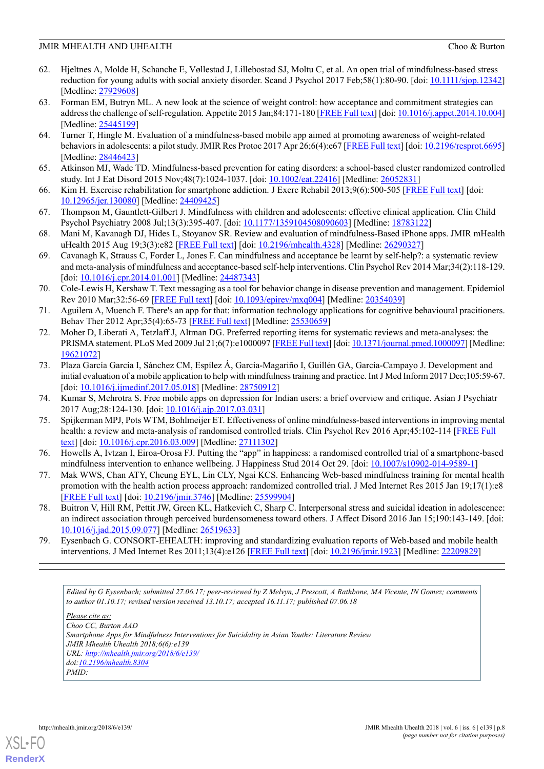- <span id="page-7-0"></span>62. Hjeltnes A, Molde H, Schanche E, Vøllestad J, Lillebostad SJ, Moltu C, et al. An open trial of mindfulness-based stress reduction for young adults with social anxiety disorder. Scand J Psychol 2017 Feb;58(1):80-90. [doi: [10.1111/sjop.12342](http://dx.doi.org/10.1111/sjop.12342)] [Medline: [27929608](http://www.ncbi.nlm.nih.gov/entrez/query.fcgi?cmd=Retrieve&db=PubMed&list_uids=27929608&dopt=Abstract)]
- <span id="page-7-1"></span>63. Forman EM, Butryn ML. A new look at the science of weight control: how acceptance and commitment strategies can address the challenge of self-regulation. Appetite 2015 Jan;84:171-180 [\[FREE Full text](http://europepmc.org/abstract/MED/25445199)] [doi: [10.1016/j.appet.2014.10.004\]](http://dx.doi.org/10.1016/j.appet.2014.10.004) [Medline: [25445199](http://www.ncbi.nlm.nih.gov/entrez/query.fcgi?cmd=Retrieve&db=PubMed&list_uids=25445199&dopt=Abstract)]
- <span id="page-7-2"></span>64. Turner T, Hingle M. Evaluation of a mindfulness-based mobile app aimed at promoting awareness of weight-related behaviors in adolescents: a pilot study. JMIR Res Protoc 2017 Apr 26;6(4):e67 [\[FREE Full text](http://www.researchprotocols.org/2017/4/e67/)] [doi: [10.2196/resprot.6695\]](http://dx.doi.org/10.2196/resprot.6695) [Medline: [28446423](http://www.ncbi.nlm.nih.gov/entrez/query.fcgi?cmd=Retrieve&db=PubMed&list_uids=28446423&dopt=Abstract)]
- <span id="page-7-4"></span><span id="page-7-3"></span>65. Atkinson MJ, Wade TD. Mindfulness-based prevention for eating disorders: a school-based cluster randomized controlled study. Int J Eat Disord 2015 Nov;48(7):1024-1037. [doi: [10.1002/eat.22416](http://dx.doi.org/10.1002/eat.22416)] [Medline: [26052831\]](http://www.ncbi.nlm.nih.gov/entrez/query.fcgi?cmd=Retrieve&db=PubMed&list_uids=26052831&dopt=Abstract)
- <span id="page-7-5"></span>66. Kim H. Exercise rehabilitation for smartphone addiction. J Exerc Rehabil 2013;9(6):500-505 [\[FREE Full text\]](http://www.e-jer.org/journal/view.php?year=2013&vol=9&page=500) [doi: [10.12965/jer.130080](http://dx.doi.org/10.12965/jer.130080)] [Medline: [24409425\]](http://www.ncbi.nlm.nih.gov/entrez/query.fcgi?cmd=Retrieve&db=PubMed&list_uids=24409425&dopt=Abstract)
- <span id="page-7-6"></span>67. Thompson M, Gauntlett-Gilbert J. Mindfulness with children and adolescents: effective clinical application. Clin Child Psychol Psychiatry 2008 Jul;13(3):395-407. [doi: [10.1177/1359104508090603](http://dx.doi.org/10.1177/1359104508090603)] [Medline: [18783122](http://www.ncbi.nlm.nih.gov/entrez/query.fcgi?cmd=Retrieve&db=PubMed&list_uids=18783122&dopt=Abstract)]
- <span id="page-7-7"></span>68. Mani M, Kavanagh DJ, Hides L, Stoyanov SR. Review and evaluation of mindfulness-Based iPhone apps. JMIR mHealth uHealth 2015 Aug 19;3(3):e82 [\[FREE Full text\]](http://mhealth.jmir.org/2015/3/e82/) [doi: [10.2196/mhealth.4328\]](http://dx.doi.org/10.2196/mhealth.4328) [Medline: [26290327\]](http://www.ncbi.nlm.nih.gov/entrez/query.fcgi?cmd=Retrieve&db=PubMed&list_uids=26290327&dopt=Abstract)
- <span id="page-7-8"></span>69. Cavanagh K, Strauss C, Forder L, Jones F. Can mindfulness and acceptance be learnt by self-help?: a systematic review and meta-analysis of mindfulness and acceptance-based self-help interventions. Clin Psychol Rev 2014 Mar;34(2):118-129. [doi: <u>[10.1016/j.cpr.2014.01.001](http://dx.doi.org/10.1016/j.cpr.2014.01.001)</u>] [Medline: [24487343\]](http://www.ncbi.nlm.nih.gov/entrez/query.fcgi?cmd=Retrieve&db=PubMed&list_uids=24487343&dopt=Abstract)
- <span id="page-7-9"></span>70. Cole-Lewis H, Kershaw T. Text messaging as a tool for behavior change in disease prevention and management. Epidemiol Rev 2010 Mar;32:56-69 [[FREE Full text](http://europepmc.org/abstract/MED/20354039)] [doi: [10.1093/epirev/mxq004](http://dx.doi.org/10.1093/epirev/mxq004)] [Medline: [20354039](http://www.ncbi.nlm.nih.gov/entrez/query.fcgi?cmd=Retrieve&db=PubMed&list_uids=20354039&dopt=Abstract)]
- <span id="page-7-10"></span>71. Aguilera A, Muench F. There's an app for that: information technology applications for cognitive behavioural pracitioners. Behav Ther 2012 Apr;35(4):65-73 [\[FREE Full text\]](http://europepmc.org/abstract/MED/25530659) [Medline: [25530659](http://www.ncbi.nlm.nih.gov/entrez/query.fcgi?cmd=Retrieve&db=PubMed&list_uids=25530659&dopt=Abstract)]
- <span id="page-7-11"></span>72. Moher D, Liberati A, Tetzlaff J, Altman DG. Preferred reporting items for systematic reviews and meta-analyses: the PRISMA statement. PLoS Med 2009 Jul 21;6(7):e1000097 [\[FREE Full text\]](http://dx.plos.org/10.1371/journal.pmed.1000097) [doi: [10.1371/journal.pmed.1000097\]](http://dx.doi.org/10.1371/journal.pmed.1000097) [Medline: [19621072](http://www.ncbi.nlm.nih.gov/entrez/query.fcgi?cmd=Retrieve&db=PubMed&list_uids=19621072&dopt=Abstract)]
- <span id="page-7-13"></span><span id="page-7-12"></span>73. Plaza García García I, Sánchez CM, Espílez Á, García-Magariño I, Guillén GA, García-Campayo J. Development and initial evaluation of a mobile application to help with mindfulness training and practice. Int J Med Inform 2017 Dec;105:59-67. [doi: [10.1016/j.ijmedinf.2017.05.018\]](http://dx.doi.org/10.1016/j.ijmedinf.2017.05.018) [Medline: [28750912](http://www.ncbi.nlm.nih.gov/entrez/query.fcgi?cmd=Retrieve&db=PubMed&list_uids=28750912&dopt=Abstract)]
- <span id="page-7-14"></span>74. Kumar S, Mehrotra S. Free mobile apps on depression for Indian users: a brief overview and critique. Asian J Psychiatr 2017 Aug;28:124-130. [doi: [10.1016/j.ajp.2017.03.031\]](http://dx.doi.org/10.1016/j.ajp.2017.03.031)
- <span id="page-7-15"></span>75. Spijkerman MPJ, Pots WTM, Bohlmeijer ET. Effectiveness of online mindfulness-based interventions in improving mental health: a review and meta-analysis of randomised controlled trials. Clin Psychol Rev 2016 Apr;45:102-114 [[FREE Full](https://linkinghub.elsevier.com/retrieve/pii/S0272-7358(15)30062-3) [text\]](https://linkinghub.elsevier.com/retrieve/pii/S0272-7358(15)30062-3) [doi: [10.1016/j.cpr.2016.03.009\]](http://dx.doi.org/10.1016/j.cpr.2016.03.009) [Medline: [27111302\]](http://www.ncbi.nlm.nih.gov/entrez/query.fcgi?cmd=Retrieve&db=PubMed&list_uids=27111302&dopt=Abstract)
- <span id="page-7-16"></span>76. Howells A, Ivtzan I, Eiroa-Orosa FJ. Putting the "app" in happiness: a randomised controlled trial of a smartphone-based mindfulness intervention to enhance wellbeing. J Happiness Stud 2014 Oct 29. [doi:  $10.1007/s10902-014-9589-1$ ]
- <span id="page-7-17"></span>77. Mak WWS, Chan ATY, Cheung EYL, Lin CLY, Ngai KCS. Enhancing Web-based mindfulness training for mental health promotion with the health action process approach: randomized controlled trial. J Med Internet Res 2015 Jan 19;17(1):e8 [[FREE Full text](http://www.jmir.org/2015/1/e8/)] [doi: [10.2196/jmir.3746](http://dx.doi.org/10.2196/jmir.3746)] [Medline: [25599904](http://www.ncbi.nlm.nih.gov/entrez/query.fcgi?cmd=Retrieve&db=PubMed&list_uids=25599904&dopt=Abstract)]
- 78. Buitron V, Hill RM, Pettit JW, Green KL, Hatkevich C, Sharp C. Interpersonal stress and suicidal ideation in adolescence: an indirect association through perceived burdensomeness toward others. J Affect Disord 2016 Jan 15;190:143-149. [doi: [10.1016/j.jad.2015.09.077\]](http://dx.doi.org/10.1016/j.jad.2015.09.077) [Medline: [26519633\]](http://www.ncbi.nlm.nih.gov/entrez/query.fcgi?cmd=Retrieve&db=PubMed&list_uids=26519633&dopt=Abstract)
- 79. Eysenbach G. CONSORT-EHEALTH: improving and standardizing evaluation reports of Web-based and mobile health interventions. J Med Internet Res 2011;13(4):e126 [\[FREE Full text](http://www.jmir.org/2011/4/e126/)] [doi: [10.2196/jmir.1923\]](http://dx.doi.org/10.2196/jmir.1923) [Medline: [22209829](http://www.ncbi.nlm.nih.gov/entrez/query.fcgi?cmd=Retrieve&db=PubMed&list_uids=22209829&dopt=Abstract)]

*Edited by G Eysenbach; submitted 27.06.17; peer-reviewed by Z Melvyn, J Prescott, A Rathbone, MA Vicente, IN Gomez; comments to author 01.10.17; revised version received 13.10.17; accepted 16.11.17; published 07.06.18*

*Please cite as:*

*Choo CC, Burton AAD Smartphone Apps for Mindfulness Interventions for Suicidality in Asian Youths: Literature Review JMIR Mhealth Uhealth 2018;6(6):e139 URL: <http://mhealth.jmir.org/2018/6/e139/> doi[:10.2196/mhealth.8304](http://dx.doi.org/10.2196/mhealth.8304) PMID:*